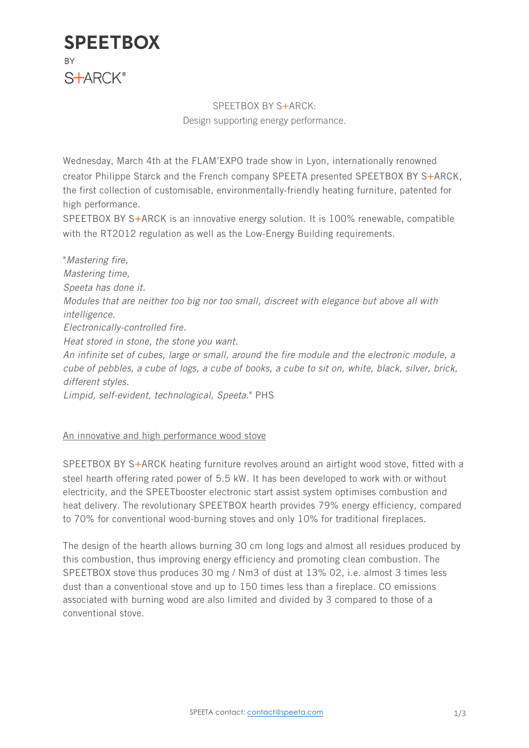

### SPEETBOX BY S+ARCK: Design supporting energy performance.

Wednesday, March 4th at the FLAM'EXPO trade show in Lyon, internationally renowned creator Philippe Starck and the French company SPEETA presented SPEETBOX BY S+ARCK, the first collection of customisable, environmentally-friendly heating furniture, patented for high performance.

SPEETBOX BY S+ARCK is an innovative energy solution. It is 100% renewable, compatible with the RT2012 regulation as well as the Low-Energy Building requirements.

"*Mastering fire, Mastering time, Speeta has done it. Modules that are neither too big nor too small, discreet with elegance but above all with intelligence. Electronically-controlled fire. Heat stored in stone, the stone you want. An infinite set of cubes, large or small, around the fire module and the electronic module, a cube of pebbles, a cube of logs, a cube of books, a cube to sit on, white, black, silver, brick, different styles.*

*Limpid, self-evident, technological, Speeta.*" PHS

#### An innovative and high performance wood stove

SPEETBOX BY S+ARCK heating furniture revolves around an airtight wood stove, fitted with a steel hearth offering rated power of 5.5 kW. It has been developed to work with or without electricity, and the SPEETbooster electronic start assist system optimises combustion and heat delivery. The revolutionary SPEETBOX hearth provides 79% energy efficiency, compared to 70% for conventional wood-burning stoves and only 10% for traditional fireplaces.

The design of the hearth allows burning 30 cm long logs and almost all residues produced by this combustion, thus improving energy efficiency and promoting clean combustion. The SPEETBOX stove thus produces 30 mg / Nm3 of dust at 13% 02, i.e. almost 3 times less dust than a conventional stove and up to 150 times less than a fireplace. CO emissions associated with burning wood are also limited and divided by 3 compared to those of a conventional stove.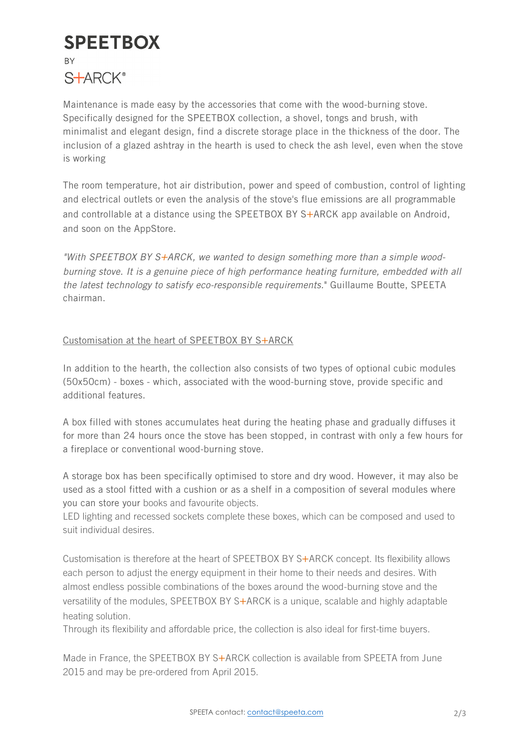# **SPEETBOX BY** S**+ARCK**<sup>®</sup>

Maintenance is made easy by the accessories that come with the wood-burning stove. Specifically designed for the SPEETBOX collection, a shovel, tongs and brush, with minimalist and elegant design, find a discrete storage place in the thickness of the door. The inclusion of a glazed ashtray in the hearth is used to check the ash level, even when the stove is working

The room temperature, hot air distribution, power and speed of combustion, control of lighting and electrical outlets or even the analysis of the stove's flue emissions are all programmable and controllable at a distance using the SPEETBOX BY  $S+ARCK$  app available on Android, and soon on the AppStore.

*"With SPEETBOX BY S+ARCK, we wanted to design something more than a simple woodburning stove. It is a genuine piece of high performance heating furniture, embedded with all the latest technology to satisfy eco-responsible requirements.*" Guillaume Boutte, SPEETA chairman.

### Customisation at the heart of SPEETBOX BY S+ARCK

In addition to the hearth, the collection also consists of two types of optional cubic modules (50x50cm) - boxes - which, associated with the wood-burning stove, provide specific and additional features.

A box filled with stones accumulates heat during the heating phase and gradually diffuses it for more than 24 hours once the stove has been stopped, in contrast with only a few hours for a fireplace or conventional wood-burning stove.

A storage box has been specifically optimised to store and dry wood. However, it may also be used as a stool fitted with a cushion or as a shelf in a composition of several modules where you can store your books and favourite objects.

LED lighting and recessed sockets complete these boxes, which can be composed and used to suit individual desires.

Customisation is therefore at the heart of SPEETBOX BY S+ARCK concept. Its flexibility allows each person to adjust the energy equipment in their home to their needs and desires. With almost endless possible combinations of the boxes around the wood-burning stove and the versatility of the modules, SPEETBOX BY S+ARCK is a unique, scalable and highly adaptable heating solution.

Through its flexibility and affordable price, the collection is also ideal for first-time buyers.

Made in France, the SPEETBOX BY S+ARCK collection is available from SPEETA from June 2015 and may be pre-ordered from April 2015.